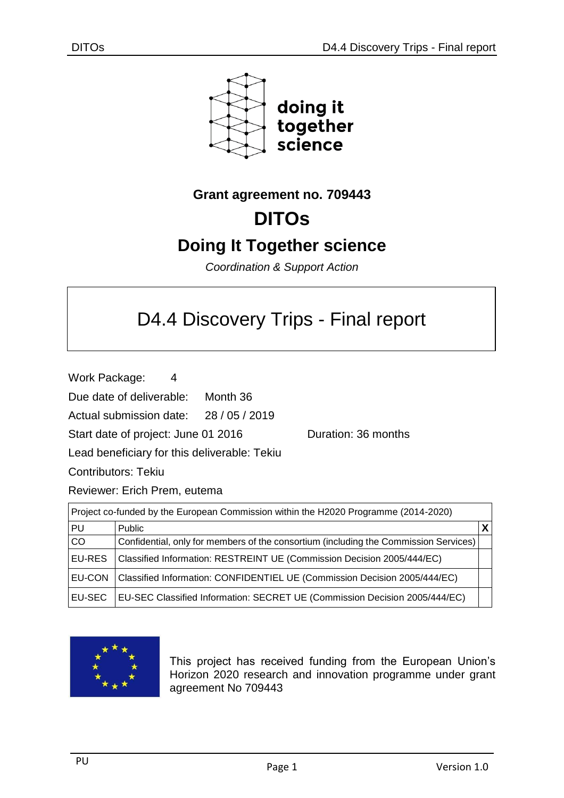

## **Grant agreement no. 709443**

# **DITOs**

# **Doing It Together science**

*Coordination & Support Action*

# D4.4 Discovery Trips - Final report

Work Package: 4

Due date of deliverable: Month 36

Actual submission date: 28 / 05 / 2019

Start date of project: June 01 2016 Quration: 36 months

Lead beneficiary for this deliverable: Tekiu

Contributors: Tekiu

Reviewer: Erich Prem, eutema

| Project co-funded by the European Commission within the H2020 Programme (2014-2020) |                                                                                      |  |
|-------------------------------------------------------------------------------------|--------------------------------------------------------------------------------------|--|
| PU                                                                                  | <b>Public</b>                                                                        |  |
| <b>CO</b>                                                                           | Confidential, only for members of the consortium (including the Commission Services) |  |
| <b>EU-RES</b>                                                                       | Classified Information: RESTREINT UE (Commission Decision 2005/444/EC)               |  |
| <b>EU-CON</b>                                                                       | Classified Information: CONFIDENTIEL UE (Commission Decision 2005/444/EC)            |  |
| <b>EU-SEC</b>                                                                       | EU-SEC Classified Information: SECRET UE (Commission Decision 2005/444/EC)           |  |



This project has received funding from the European Union's Horizon 2020 research and innovation programme under grant agreement No 709443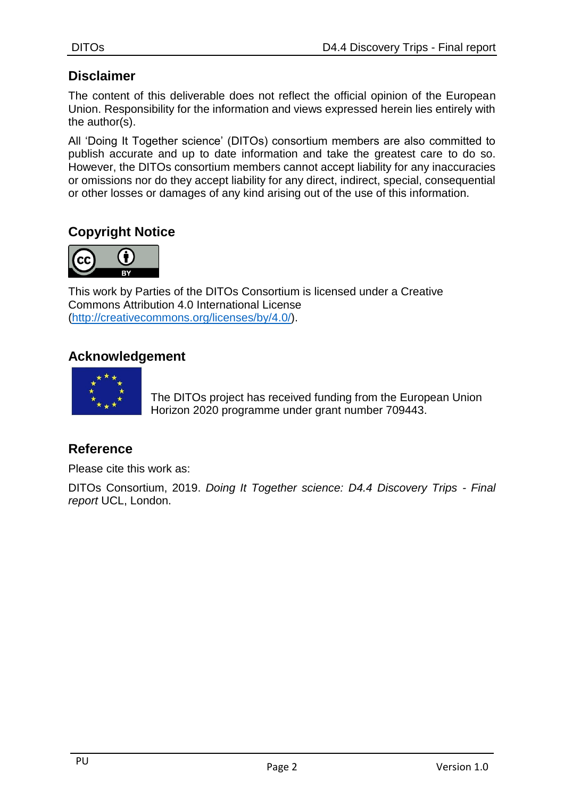## **Disclaimer**

The content of this deliverable does not reflect the official opinion of the European Union. Responsibility for the information and views expressed herein lies entirely with the author(s).

All 'Doing It Together science' (DITOs) consortium members are also committed to publish accurate and up to date information and take the greatest care to do so. However, the DITOs consortium members cannot accept liability for any inaccuracies or omissions nor do they accept liability for any direct, indirect, special, consequential or other losses or damages of any kind arising out of the use of this information.

## **Copyright Notice**



This work by Parties of the DITOs Consortium is licensed under a Creative Commons Attribution 4.0 International License [\(http://creativecommons.org/licenses/by/4.0/\)](http://creativecommons.org/licenses/by/4.0/).

#### **Acknowledgement**



The DITOs project has received funding from the European Union Horizon 2020 programme under grant number 709443.

## **Reference**

Please cite this work as:

DITOs Consortium, 2019. *Doing It Together science: D4.4 Discovery Trips - Final report* UCL, London.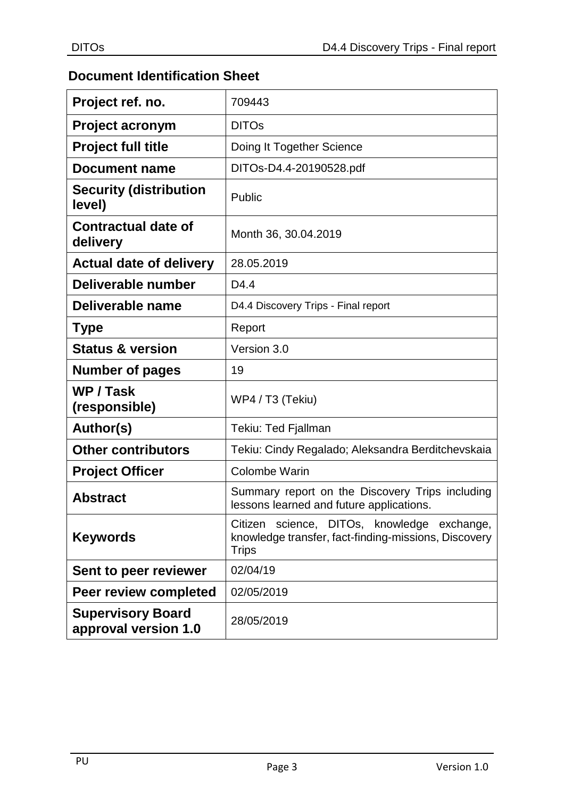## **Document Identification Sheet**

| Project ref. no.                                 | 709443                                                                                                       |
|--------------------------------------------------|--------------------------------------------------------------------------------------------------------------|
| <b>Project acronym</b>                           | <b>DITOs</b>                                                                                                 |
| <b>Project full title</b>                        | Doing It Together Science                                                                                    |
| <b>Document name</b>                             | DITOs-D4.4-20190528.pdf                                                                                      |
| <b>Security (distribution</b><br>level)          | Public                                                                                                       |
| <b>Contractual date of</b><br>delivery           | Month 36, 30.04.2019                                                                                         |
| <b>Actual date of delivery</b>                   | 28.05.2019                                                                                                   |
| Deliverable number                               | D <sub>4.4</sub>                                                                                             |
| Deliverable name                                 | D4.4 Discovery Trips - Final report                                                                          |
| <b>Type</b>                                      | Report                                                                                                       |
| <b>Status &amp; version</b>                      | Version 3.0                                                                                                  |
| <b>Number of pages</b>                           | 19                                                                                                           |
| WP / Task<br>(responsible)                       | WP4 / T3 (Tekiu)                                                                                             |
| Author(s)                                        | Tekiu: Ted Fjallman                                                                                          |
| <b>Other contributors</b>                        | Tekiu: Cindy Regalado; Aleksandra Berditchevskaia                                                            |
| <b>Project Officer</b>                           | <b>Colombe Warin</b>                                                                                         |
| <b>Abstract</b>                                  | Summary report on the Discovery Trips including<br>lessons learned and future applications.                  |
| <b>Keywords</b>                                  | Citizen science, DITOs, knowledge exchange,<br>knowledge transfer, fact-finding-missions, Discovery<br>Trips |
| Sent to peer reviewer                            | 02/04/19                                                                                                     |
| Peer review completed                            | 02/05/2019                                                                                                   |
| <b>Supervisory Board</b><br>approval version 1.0 | 28/05/2019                                                                                                   |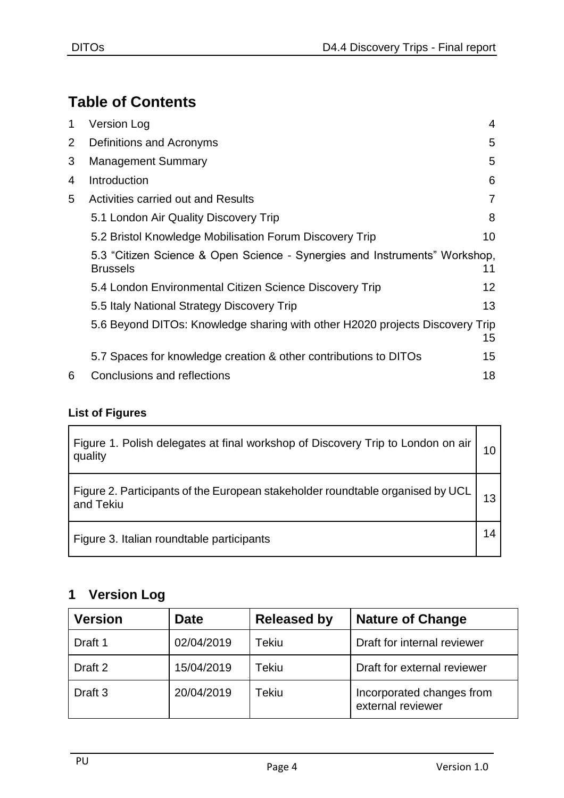# **Table of Contents**

| 1              | <b>Version Log</b>                                                                            | 4  |
|----------------|-----------------------------------------------------------------------------------------------|----|
| $\overline{2}$ | Definitions and Acronyms                                                                      | 5  |
| 3              | <b>Management Summary</b>                                                                     | 5  |
| 4              | Introduction                                                                                  | 6  |
| 5              | <b>Activities carried out and Results</b>                                                     | 7  |
|                | 5.1 London Air Quality Discovery Trip                                                         | 8  |
|                | 5.2 Bristol Knowledge Mobilisation Forum Discovery Trip                                       | 10 |
|                | 5.3 "Citizen Science & Open Science - Synergies and Instruments" Workshop,<br><b>Brussels</b> | 11 |
|                | 5.4 London Environmental Citizen Science Discovery Trip                                       | 12 |
|                | 5.5 Italy National Strategy Discovery Trip                                                    | 13 |
|                | 5.6 Beyond DITOs: Knowledge sharing with other H2020 projects Discovery Trip                  | 15 |
|                | 5.7 Spaces for knowledge creation & other contributions to DITOs                              | 15 |
| 6              | Conclusions and reflections                                                                   | 18 |

## **List of Figures**

| Figure 1. Polish delegates at final workshop of Discovery Trip to London on air  <br>quality  |  |
|-----------------------------------------------------------------------------------------------|--|
| Figure 2. Participants of the European stakeholder roundtable organised by UCL  <br>and Tekiu |  |
| Figure 3. Italian roundtable participants                                                     |  |

## <span id="page-3-0"></span>**1 Version Log**

| <b>Version</b>     | <b>Date</b> | <b>Released by</b> | <b>Nature of Change</b>                        |
|--------------------|-------------|--------------------|------------------------------------------------|
| Draft 1            | 02/04/2019  | Tekiu              | Draft for internal reviewer                    |
| Draft 2            | 15/04/2019  | <b>Tekiu</b>       | Draft for external reviewer                    |
| Draft <sub>3</sub> | 20/04/2019  | Tekiu              | Incorporated changes from<br>external reviewer |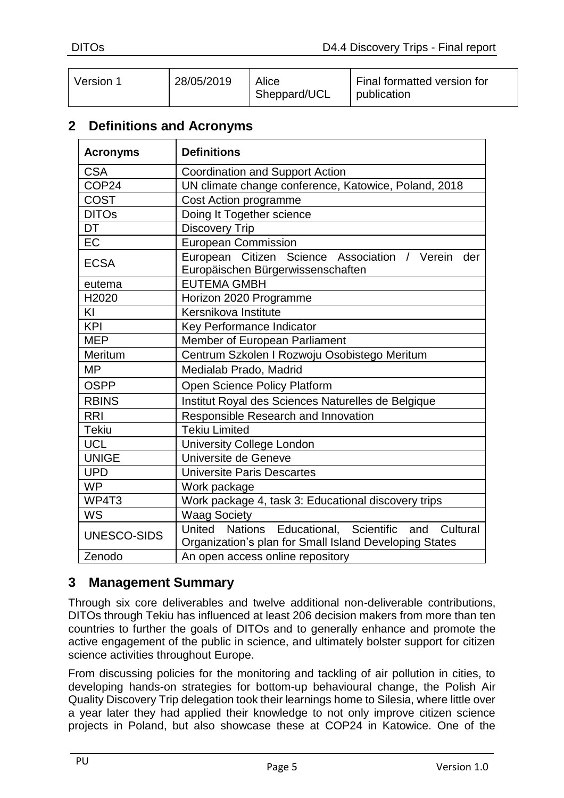| 28/05/2019<br>Final formatted version for<br>Alice<br>Version 1<br>Sheppard/UCL<br>publication |  |
|------------------------------------------------------------------------------------------------|--|
|------------------------------------------------------------------------------------------------|--|

## <span id="page-4-0"></span>**2 Definitions and Acronyms**

| <b>Acronyms</b>   | <b>Definitions</b>                                                                                               |
|-------------------|------------------------------------------------------------------------------------------------------------------|
| <b>CSA</b>        | <b>Coordination and Support Action</b>                                                                           |
| COP24             | UN climate change conference, Katowice, Poland, 2018                                                             |
| <b>COST</b>       | Cost Action programme                                                                                            |
| <b>DITOs</b>      | Doing It Together science                                                                                        |
| DT                | <b>Discovery Trip</b>                                                                                            |
| EC                | <b>European Commission</b>                                                                                       |
| <b>ECSA</b>       | European Citizen Science Association / Verein<br>der<br>Europäischen Bürgerwissenschaften                        |
| eutema            | <b>EUTEMA GMBH</b>                                                                                               |
| H <sub>2020</sub> | Horizon 2020 Programme                                                                                           |
| KI                | Kersnikova Institute                                                                                             |
| <b>KPI</b>        | Key Performance Indicator                                                                                        |
| <b>MEP</b>        | Member of European Parliament                                                                                    |
| Meritum           | Centrum Szkolen I Rozwoju Osobistego Meritum                                                                     |
| MP                | Medialab Prado, Madrid                                                                                           |
| <b>OSPP</b>       | Open Science Policy Platform                                                                                     |
| <b>RBINS</b>      | Institut Royal des Sciences Naturelles de Belgique                                                               |
| <b>RRI</b>        | Responsible Research and Innovation                                                                              |
| <b>Tekiu</b>      | <b>Tekiu Limited</b>                                                                                             |
| <b>UCL</b>        | <b>University College London</b>                                                                                 |
| <b>UNIGE</b>      | Universite de Geneve                                                                                             |
| <b>UPD</b>        | Universite Paris Descartes                                                                                       |
| <b>WP</b>         | Work package                                                                                                     |
| WP4T3             | Work package 4, task 3: Educational discovery trips                                                              |
| WS                | <b>Waag Society</b>                                                                                              |
| UNESCO-SIDS       | United Nations Educational, Scientific and<br>Cultural<br>Organization's plan for Small Island Developing States |
| Zenodo            | An open access online repository                                                                                 |

## <span id="page-4-1"></span>**3 Management Summary**

Through six core deliverables and twelve additional non-deliverable contributions, DITOs through Tekiu has influenced at least 206 decision makers from more than ten countries to further the goals of DITOs and to generally enhance and promote the active engagement of the public in science, and ultimately bolster support for citizen science activities throughout Europe.

From discussing policies for the monitoring and tackling of air pollution in cities, to developing hands-on strategies for bottom-up behavioural change, the Polish Air Quality Discovery Trip delegation took their learnings home to Silesia, where little over a year later they had applied their knowledge to not only improve citizen science projects in Poland, but also showcase these at COP24 in Katowice. One of the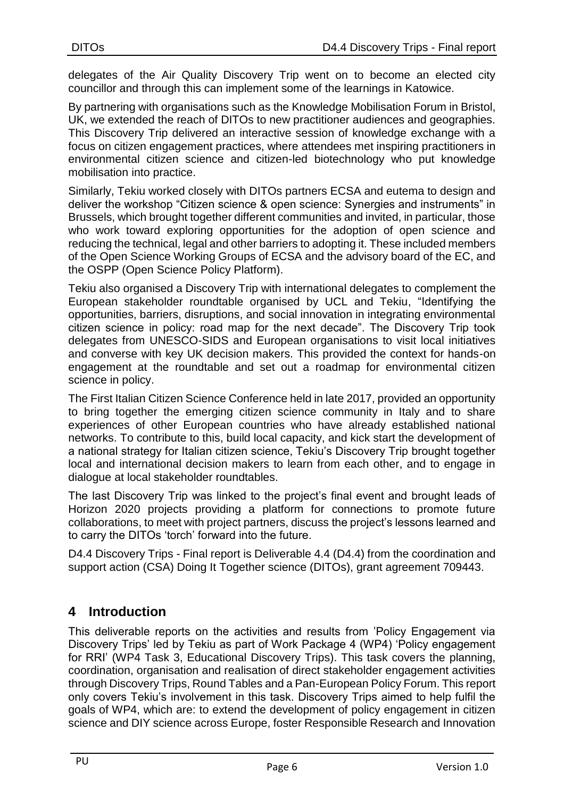delegates of the Air Quality Discovery Trip went on to become an elected city councillor and through this can implement some of the learnings in Katowice.

By partnering with organisations such as the Knowledge Mobilisation Forum in Bristol, UK, we extended the reach of DITOs to new practitioner audiences and geographies. This Discovery Trip delivered an interactive session of knowledge exchange with a focus on citizen engagement practices, where attendees met inspiring practitioners in environmental citizen science and citizen-led biotechnology who put knowledge mobilisation into practice.

Similarly, Tekiu worked closely with DITOs partners ECSA and eutema to design and deliver the workshop "Citizen science & open science: Synergies and instruments" in Brussels, which brought together different communities and invited, in particular, those who work toward exploring opportunities for the adoption of open science and reducing the technical, legal and other barriers to adopting it. These included members of the Open Science Working Groups of ECSA and the advisory board of the EC, and the OSPP (Open Science Policy Platform).

Tekiu also organised a Discovery Trip with international delegates to complement the European stakeholder roundtable organised by UCL and Tekiu, "Identifying the opportunities, barriers, disruptions, and social innovation in integrating environmental citizen science in policy: road map for the next decade". The Discovery Trip took delegates from UNESCO-SIDS and European organisations to visit local initiatives and converse with key UK decision makers. This provided the context for hands-on engagement at the roundtable and set out a roadmap for environmental citizen science in policy.

The First Italian Citizen Science Conference held in late 2017, provided an opportunity to bring together the emerging citizen science community in Italy and to share experiences of other European countries who have already established national networks. To contribute to this, build local capacity, and kick start the development of a national strategy for Italian citizen science, Tekiu's Discovery Trip brought together local and international decision makers to learn from each other, and to engage in dialogue at local stakeholder roundtables.

The last Discovery Trip was linked to the project's final event and brought leads of Horizon 2020 projects providing a platform for connections to promote future collaborations, to meet with project partners, discuss the project's lessons learned and to carry the DITOs 'torch' forward into the future.

D4.4 Discovery Trips - Final report is Deliverable 4.4 (D4.4) from the coordination and support action (CSA) Doing It Together science (DITOs), grant agreement 709443.

## <span id="page-5-0"></span>**4 Introduction**

This deliverable reports on the activities and results from 'Policy Engagement via Discovery Trips' led by Tekiu as part of Work Package 4 (WP4) 'Policy engagement for RRI' (WP4 Task 3, Educational Discovery Trips). This task covers the planning, coordination, organisation and realisation of direct stakeholder engagement activities through Discovery Trips, Round Tables and a Pan-European Policy Forum. This report only covers Tekiu's involvement in this task. Discovery Trips aimed to help fulfil the goals of WP4, which are: to extend the development of policy engagement in citizen science and DIY science across Europe, foster Responsible Research and Innovation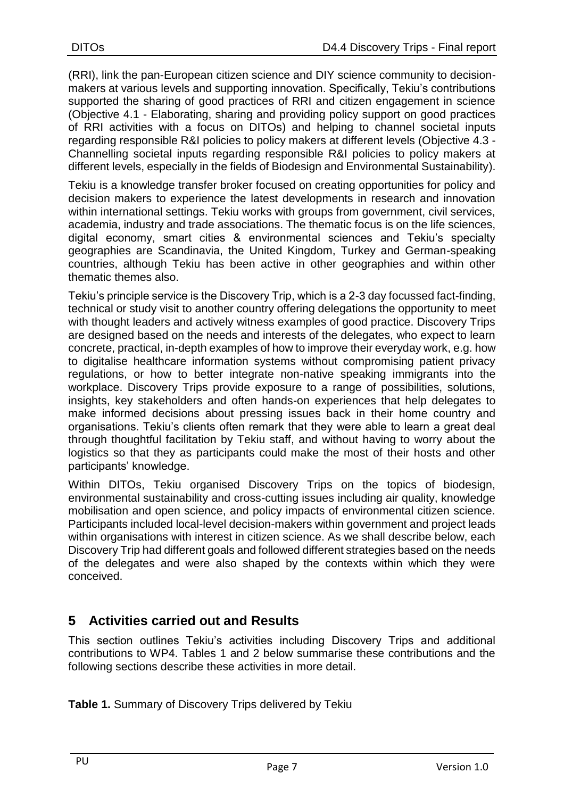(RRI), link the pan-European citizen science and DIY science community to decisionmakers at various levels and supporting innovation. Specifically, Tekiu's contributions supported the sharing of good practices of RRI and citizen engagement in science (Objective 4.1 - Elaborating, sharing and providing policy support on good practices of RRI activities with a focus on DITOs) and helping to channel societal inputs regarding responsible R&I policies to policy makers at different levels (Objective 4.3 - Channelling societal inputs regarding responsible R&I policies to policy makers at different levels, especially in the fields of Biodesign and Environmental Sustainability).

Tekiu is a knowledge transfer broker focused on creating opportunities for policy and decision makers to experience the latest developments in research and innovation within international settings. Tekiu works with groups from government, civil services, academia, industry and trade associations. The thematic focus is on the life sciences, digital economy, smart cities & environmental sciences and Tekiu's specialty geographies are Scandinavia, the United Kingdom, Turkey and German-speaking countries, although Tekiu has been active in other geographies and within other thematic themes also.

Tekiu's principle service is the Discovery Trip, which is a 2-3 day focussed fact-finding, technical or study visit to another country offering delegations the opportunity to meet with thought leaders and actively witness examples of good practice. Discovery Trips are designed based on the needs and interests of the delegates, who expect to learn concrete, practical, in-depth examples of how to improve their everyday work, e.g. how to digitalise healthcare information systems without compromising patient privacy regulations, or how to better integrate non-native speaking immigrants into the workplace. Discovery Trips provide exposure to a range of possibilities, solutions, insights, key stakeholders and often hands-on experiences that help delegates to make informed decisions about pressing issues back in their home country and organisations. Tekiu's clients often remark that they were able to learn a great deal through thoughtful facilitation by Tekiu staff, and without having to worry about the logistics so that they as participants could make the most of their hosts and other participants' knowledge.

Within DITOs, Tekiu organised Discovery Trips on the topics of biodesign, environmental sustainability and cross-cutting issues including air quality, knowledge mobilisation and open science, and policy impacts of environmental citizen science. Participants included local-level decision-makers within government and project leads within organisations with interest in citizen science. As we shall describe below, each Discovery Trip had different goals and followed different strategies based on the needs of the delegates and were also shaped by the contexts within which they were conceived.

## <span id="page-6-0"></span>**5 Activities carried out and Results**

This section outlines Tekiu's activities including Discovery Trips and additional contributions to WP4. Tables 1 and 2 below summarise these contributions and the following sections describe these activities in more detail.

**Table 1.** Summary of Discovery Trips delivered by Tekiu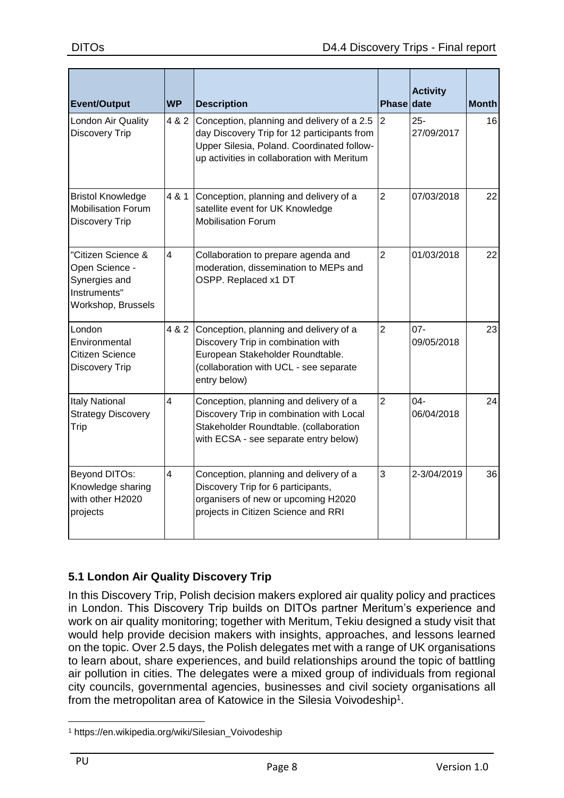| <b>Event/Output</b>                                                                         | <b>WP</b>      | <b>Description</b>                                                                                                                                                                     | <b>Phase date</b> | <b>Activity</b>      | <b>Month</b> |
|---------------------------------------------------------------------------------------------|----------------|----------------------------------------------------------------------------------------------------------------------------------------------------------------------------------------|-------------------|----------------------|--------------|
| London Air Quality<br><b>Discovery Trip</b>                                                 | 4 & 2          | Conception, planning and delivery of a 2.5<br>day Discovery Trip for 12 participants from<br>Upper Silesia, Poland. Coordinated follow-<br>up activities in collaboration with Meritum | $\overline{2}$    | $25 -$<br>27/09/2017 | 16           |
| <b>Bristol Knowledge</b><br><b>Mobilisation Forum</b><br><b>Discovery Trip</b>              | 4 & 1          | Conception, planning and delivery of a<br>satellite event for UK Knowledge<br><b>Mobilisation Forum</b>                                                                                | $\overline{2}$    | 07/03/2018           | 22           |
| "Citizen Science &<br>Open Science -<br>Synergies and<br>Instruments"<br>Workshop, Brussels | $\overline{4}$ | Collaboration to prepare agenda and<br>moderation, dissemination to MEPs and<br>OSPP. Replaced x1 DT                                                                                   | $\overline{2}$    | 01/03/2018           | 22           |
| London<br>Environmental<br>Citizen Science<br><b>Discovery Trip</b>                         | 4 & 2          | Conception, planning and delivery of a<br>Discovery Trip in combination with<br>European Stakeholder Roundtable.<br>(collaboration with UCL - see separate<br>entry below)             | $\overline{2}$    | $07 -$<br>09/05/2018 | 23           |
| <b>Italy National</b><br><b>Strategy Discovery</b><br>Trip                                  | $\overline{4}$ | Conception, planning and delivery of a<br>Discovery Trip in combination with Local<br>Stakeholder Roundtable. (collaboration<br>with ECSA - see separate entry below)                  | $\overline{2}$    | $04 -$<br>06/04/2018 | 24           |
| Beyond DITOs:<br>Knowledge sharing<br>with other H2020<br>projects                          | $\overline{4}$ | Conception, planning and delivery of a<br>Discovery Trip for 6 participants,<br>organisers of new or upcoming H2020<br>projects in Citizen Science and RRI                             | 3                 | 2-3/04/2019          | 36           |

## <span id="page-7-0"></span>**5.1 London Air Quality Discovery Trip**

In this Discovery Trip, Polish decision makers explored air quality policy and practices in London. This Discovery Trip builds on DITOs partner Meritum's experience and work on air quality monitoring; together with Meritum, Tekiu designed a study visit that would help provide decision makers with insights, approaches, and lessons learned on the topic. Over 2.5 days, the Polish delegates met with a range of UK organisations to learn about, share experiences, and build relationships around the topic of battling air pollution in cities. The delegates were a mixed group of individuals from regional city councils, governmental agencies, businesses and civil society organisations all from the metropolitan area of Katowice in the Silesia Voivodeship<sup>1</sup>.

<sup>&</sup>lt;u>.</u> <sup>1</sup> https://en.wikipedia.org/wiki/Silesian\_Voivodeship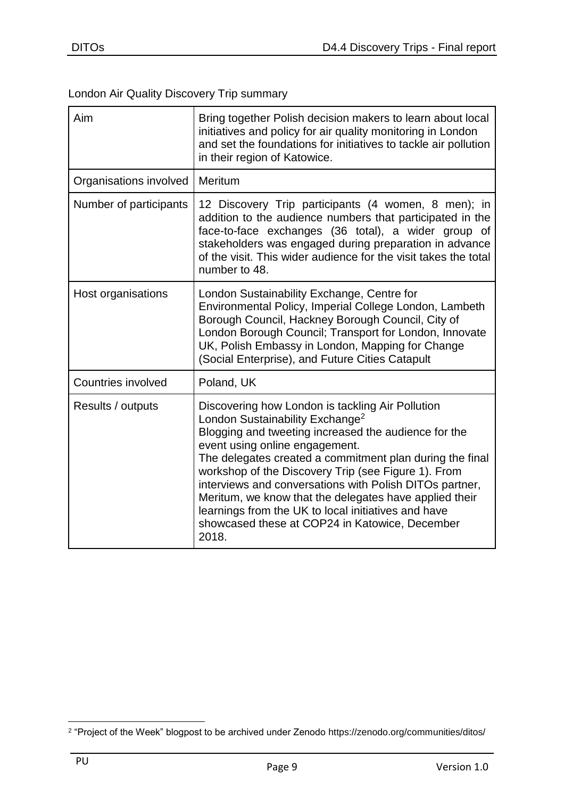## London Air Quality Discovery Trip summary

| Aim                       | Bring together Polish decision makers to learn about local<br>initiatives and policy for air quality monitoring in London<br>and set the foundations for initiatives to tackle air pollution<br>in their region of Katowice.                                                                                                                                                                                                                                                                                                                        |  |
|---------------------------|-----------------------------------------------------------------------------------------------------------------------------------------------------------------------------------------------------------------------------------------------------------------------------------------------------------------------------------------------------------------------------------------------------------------------------------------------------------------------------------------------------------------------------------------------------|--|
| Organisations involved    | Meritum                                                                                                                                                                                                                                                                                                                                                                                                                                                                                                                                             |  |
| Number of participants    | 12 Discovery Trip participants (4 women, 8 men); in<br>addition to the audience numbers that participated in the<br>face-to-face exchanges (36 total), a wider group of<br>stakeholders was engaged during preparation in advance<br>of the visit. This wider audience for the visit takes the total<br>number to 48.                                                                                                                                                                                                                               |  |
| Host organisations        | London Sustainability Exchange, Centre for<br>Environmental Policy, Imperial College London, Lambeth<br>Borough Council, Hackney Borough Council, City of<br>London Borough Council; Transport for London, Innovate<br>UK, Polish Embassy in London, Mapping for Change<br>(Social Enterprise), and Future Cities Catapult                                                                                                                                                                                                                          |  |
| <b>Countries involved</b> | Poland, UK                                                                                                                                                                                                                                                                                                                                                                                                                                                                                                                                          |  |
| Results / outputs         | Discovering how London is tackling Air Pollution<br>London Sustainability Exchange <sup>2</sup><br>Blogging and tweeting increased the audience for the<br>event using online engagement.<br>The delegates created a commitment plan during the final<br>workshop of the Discovery Trip (see Figure 1). From<br>interviews and conversations with Polish DITOs partner,<br>Meritum, we know that the delegates have applied their<br>learnings from the UK to local initiatives and have<br>showcased these at COP24 in Katowice, December<br>2018. |  |

<sup>&</sup>lt;u>.</u> 2 "Project of the Week" blogpost to be archived under Zenodo https://zenodo.org/communities/ditos/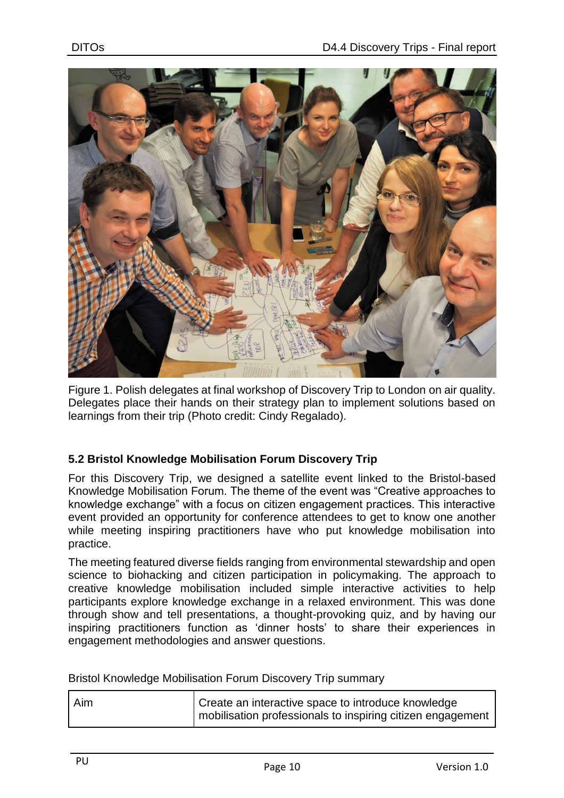

Figure 1. Polish delegates at final workshop of Discovery Trip to London on air quality. Delegates place their hands on their strategy plan to implement solutions based on learnings from their trip (Photo credit: Cindy Regalado).

#### <span id="page-9-0"></span>**5.2 Bristol Knowledge Mobilisation Forum Discovery Trip**

For this Discovery Trip, we designed a satellite event linked to the Bristol-based Knowledge Mobilisation Forum. The theme of the event was "Creative approaches to knowledge exchange" with a focus on citizen engagement practices. This interactive event provided an opportunity for conference attendees to get to know one another while meeting inspiring practitioners have who put knowledge mobilisation into practice.

The meeting featured diverse fields ranging from environmental stewardship and open science to biohacking and citizen participation in policymaking. The approach to creative knowledge mobilisation included simple interactive activities to help participants explore knowledge exchange in a relaxed environment. This was done through show and tell presentations, a thought-provoking quiz, and by having our inspiring practitioners function as 'dinner hosts' to share their experiences in engagement methodologies and answer questions.

Bristol Knowledge Mobilisation Forum Discovery Trip summary

| Aim | Create an interactive space to introduce knowledge         |
|-----|------------------------------------------------------------|
|     | mobilisation professionals to inspiring citizen engagement |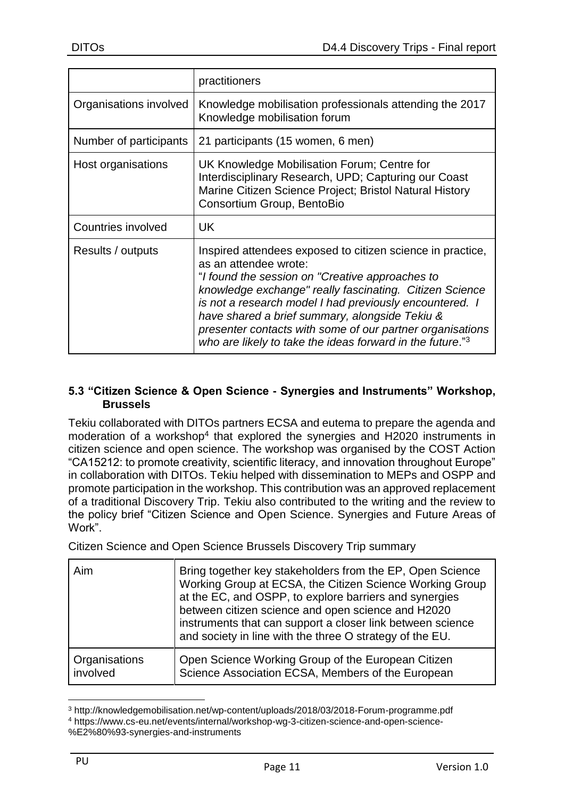|                        | practitioners                                                                                                                                                                                                                                                                                                                                                                                                                                        |
|------------------------|------------------------------------------------------------------------------------------------------------------------------------------------------------------------------------------------------------------------------------------------------------------------------------------------------------------------------------------------------------------------------------------------------------------------------------------------------|
| Organisations involved | Knowledge mobilisation professionals attending the 2017<br>Knowledge mobilisation forum                                                                                                                                                                                                                                                                                                                                                              |
| Number of participants | 21 participants (15 women, 6 men)                                                                                                                                                                                                                                                                                                                                                                                                                    |
| Host organisations     | UK Knowledge Mobilisation Forum; Centre for<br>Interdisciplinary Research, UPD; Capturing our Coast<br>Marine Citizen Science Project; Bristol Natural History<br>Consortium Group, BentoBio                                                                                                                                                                                                                                                         |
| Countries involved     | UK                                                                                                                                                                                                                                                                                                                                                                                                                                                   |
| Results / outputs      | Inspired attendees exposed to citizen science in practice,<br>as an attendee wrote:<br>"I found the session on "Creative approaches to<br>knowledge exchange" really fascinating. Citizen Science<br>is not a research model I had previously encountered. I<br>have shared a brief summary, alongside Tekiu &<br>presenter contacts with some of our partner organisations<br>who are likely to take the ideas forward in the future." <sup>3</sup> |

#### <span id="page-10-0"></span>**5.3 "Citizen Science & Open Science - Synergies and Instruments" Workshop, Brussels**

Tekiu collaborated with DITOs partners ECSA and eutema to prepare the agenda and moderation of a workshop<sup>4</sup> that explored the synergies and H2020 instruments in citizen science and open science. The workshop was organised by the COST Action "CA15212: to promote creativity, scientific literacy, and innovation throughout Europe" in collaboration with DITOs. Tekiu helped with dissemination to MEPs and OSPP and promote participation in the workshop. This contribution was an approved replacement of a traditional Discovery Trip. Tekiu also contributed to the writing and the review to the policy brief "Citizen Science and Open Science. Synergies and Future Areas of Work".

Citizen Science and Open Science Brussels Discovery Trip summary

| Aim           | Bring together key stakeholders from the EP, Open Science<br>Working Group at ECSA, the Citizen Science Working Group<br>at the EC, and OSPP, to explore barriers and synergies<br>between citizen science and open science and H2020<br>instruments that can support a closer link between science<br>and society in line with the three O strategy of the EU. |
|---------------|-----------------------------------------------------------------------------------------------------------------------------------------------------------------------------------------------------------------------------------------------------------------------------------------------------------------------------------------------------------------|
| Organisations | Open Science Working Group of the European Citizen                                                                                                                                                                                                                                                                                                              |
| involved      | Science Association ECSA, Members of the European                                                                                                                                                                                                                                                                                                               |

<sup>3</sup> http://knowledgemobilisation.net/wp-content/uploads/2018/03/2018-Forum-programme.pdf <sup>4</sup> https://www.cs-eu.net/events/internal/workshop-wg-3-citizen-science-and-open-science-

1

<sup>%</sup>E2%80%93-synergies-and-instruments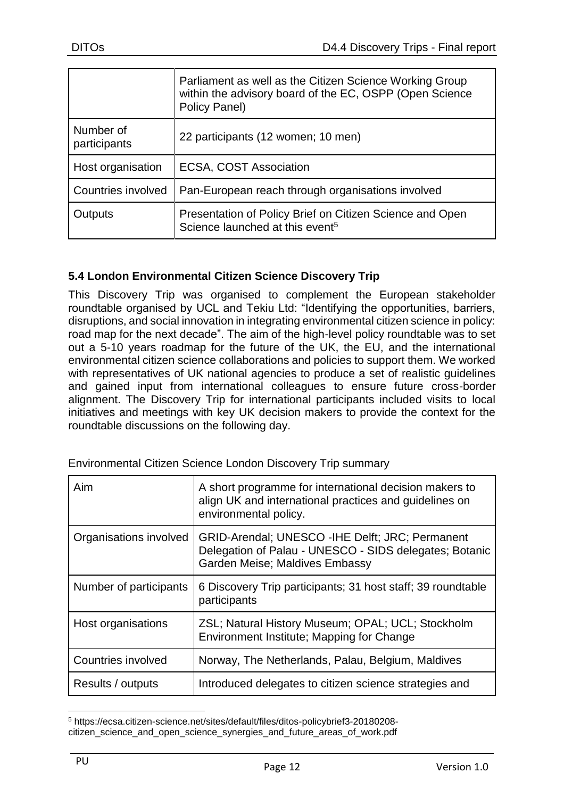|                           | Parliament as well as the Citizen Science Working Group<br>within the advisory board of the EC, OSPP (Open Science<br>Policy Panel) |
|---------------------------|-------------------------------------------------------------------------------------------------------------------------------------|
| Number of<br>participants | 22 participants (12 women; 10 men)                                                                                                  |
| Host organisation         | <b>ECSA, COST Association</b>                                                                                                       |
| Countries involved        | Pan-European reach through organisations involved                                                                                   |
| Outputs                   | Presentation of Policy Brief on Citizen Science and Open<br>Science launched at this event <sup>5</sup>                             |

#### <span id="page-11-0"></span>**5.4 London Environmental Citizen Science Discovery Trip**

This Discovery Trip was organised to complement the European stakeholder roundtable organised by UCL and Tekiu Ltd: "Identifying the opportunities, barriers, disruptions, and social innovation in integrating environmental citizen science in policy: road map for the next decade". The aim of the high-level policy roundtable was to set out a 5-10 years roadmap for the future of the UK, the EU, and the international environmental citizen science collaborations and policies to support them. We worked with representatives of UK national agencies to produce a set of realistic guidelines and gained input from international colleagues to ensure future cross-border alignment. The Discovery Trip for international participants included visits to local initiatives and meetings with key UK decision makers to provide the context for the roundtable discussions on the following day.

| Aim                       | A short programme for international decision makers to<br>align UK and international practices and guidelines on<br>environmental policy.           |
|---------------------------|-----------------------------------------------------------------------------------------------------------------------------------------------------|
| Organisations involved    | <b>GRID-Arendal: UNESCO - IHE Delft: JRC: Permanent</b><br>Delegation of Palau - UNESCO - SIDS delegates; Botanic<br>Garden Meise; Maldives Embassy |
| Number of participants    | 6 Discovery Trip participants; 31 host staff; 39 roundtable<br>participants                                                                         |
| Host organisations        | ZSL; Natural History Museum; OPAL; UCL; Stockholm<br>Environment Institute; Mapping for Change                                                      |
| <b>Countries involved</b> | Norway, The Netherlands, Palau, Belgium, Maldives                                                                                                   |
| Results / outputs         | Introduced delegates to citizen science strategies and                                                                                              |

Environmental Citizen Science London Discovery Trip summary

1

<sup>5</sup> https://ecsa.citizen-science.net/sites/default/files/ditos-policybrief3-20180208 citizen\_science\_and\_open\_science\_synergies\_and\_future\_areas\_of\_work.pdf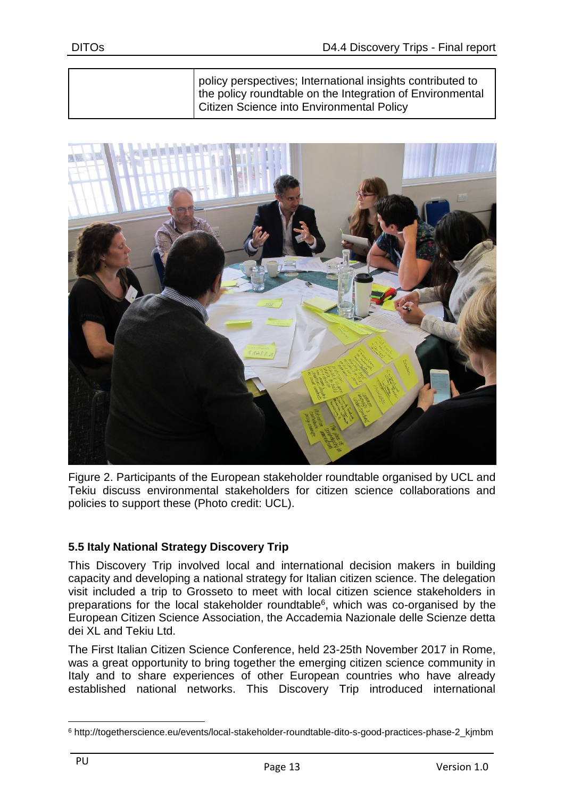policy perspectives; International insights contributed to the policy roundtable on the Integration of Environmental Citizen Science into Environmental Policy



Figure 2. Participants of the European stakeholder roundtable organised by UCL and Tekiu discuss environmental stakeholders for citizen science collaborations and policies to support these (Photo credit: UCL).

#### <span id="page-12-0"></span>**5.5 Italy National Strategy Discovery Trip**

This Discovery Trip involved local and international decision makers in building capacity and developing a national strategy for Italian citizen science. The delegation visit included a trip to Grosseto to meet with local citizen science stakeholders in preparations for the local stakeholder roundtable<sup>6</sup>, which was co-organised by the European Citizen Science Association, the Accademia Nazionale delle Scienze detta dei XL and Tekiu Ltd.

The First Italian Citizen Science Conference, held 23-25th November 2017 in Rome, was a great opportunity to bring together the emerging citizen science community in Italy and to share experiences of other European countries who have already established national networks. This Discovery Trip introduced international

<u>.</u>

<sup>6</sup> http://togetherscience.eu/events/local-stakeholder-roundtable-dito-s-good-practices-phase-2\_kjmbm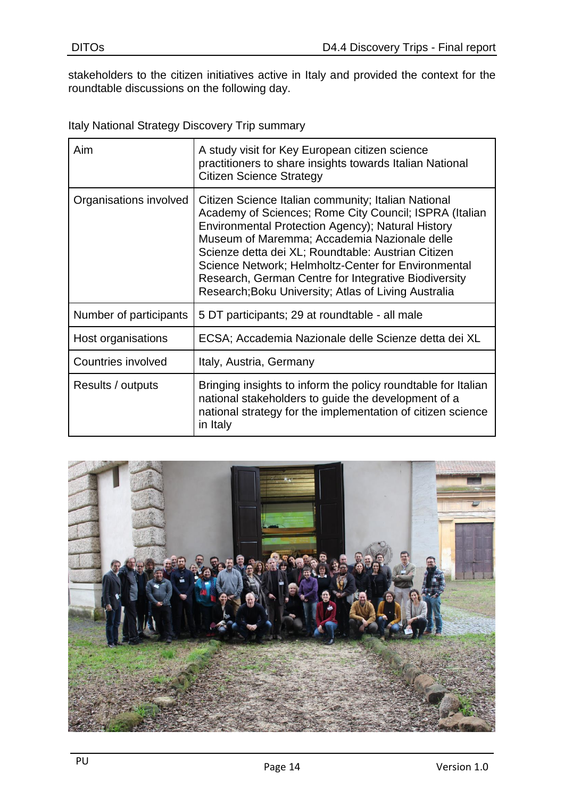stakeholders to the citizen initiatives active in Italy and provided the context for the roundtable discussions on the following day.

Italy National Strategy Discovery Trip summary

| Aim                    | A study visit for Key European citizen science<br>practitioners to share insights towards Italian National<br><b>Citizen Science Strategy</b>                                                                                                                                                                                                                                                                                                   |
|------------------------|-------------------------------------------------------------------------------------------------------------------------------------------------------------------------------------------------------------------------------------------------------------------------------------------------------------------------------------------------------------------------------------------------------------------------------------------------|
| Organisations involved | Citizen Science Italian community; Italian National<br>Academy of Sciences; Rome City Council; ISPRA (Italian<br>Environmental Protection Agency); Natural History<br>Museum of Maremma; Accademia Nazionale delle<br>Scienze detta dei XL; Roundtable: Austrian Citizen<br>Science Network; Helmholtz-Center for Environmental<br>Research, German Centre for Integrative Biodiversity<br>Research; Boku University; Atlas of Living Australia |
| Number of participants | 5 DT participants; 29 at roundtable - all male                                                                                                                                                                                                                                                                                                                                                                                                  |
| Host organisations     | ECSA; Accademia Nazionale delle Scienze detta dei XL                                                                                                                                                                                                                                                                                                                                                                                            |
| Countries involved     | Italy, Austria, Germany                                                                                                                                                                                                                                                                                                                                                                                                                         |
| Results / outputs      | Bringing insights to inform the policy roundtable for Italian<br>national stakeholders to guide the development of a<br>national strategy for the implementation of citizen science<br>in Italy                                                                                                                                                                                                                                                 |

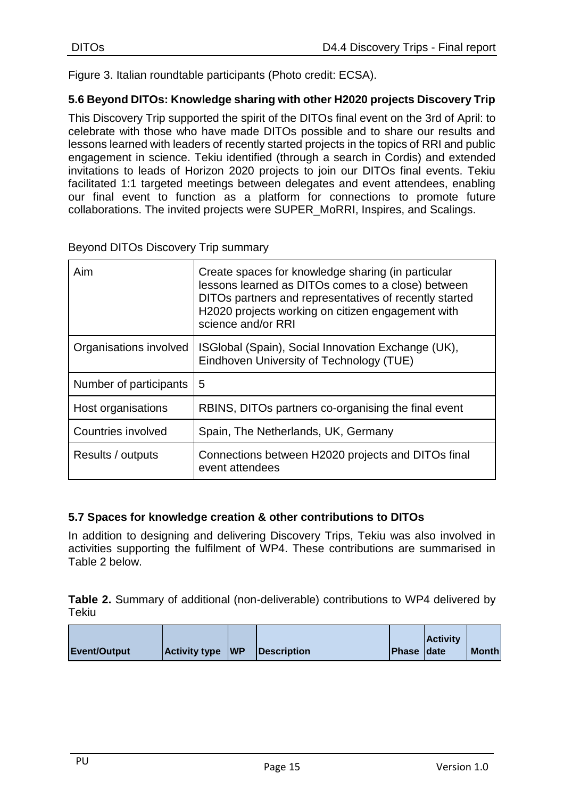Figure 3. Italian roundtable participants (Photo credit: ECSA).

#### <span id="page-14-0"></span>**5.6 Beyond DITOs: Knowledge sharing with other H2020 projects Discovery Trip**

This Discovery Trip supported the spirit of the DITOs final event on the 3rd of April: to celebrate with those who have made DITOs possible and to share our results and lessons learned with leaders of recently started projects in the topics of RRI and public engagement in science. Tekiu identified (through a search in Cordis) and extended invitations to leads of Horizon 2020 projects to join our DITOs final events. Tekiu facilitated 1:1 targeted meetings between delegates and event attendees, enabling our final event to function as a platform for connections to promote future collaborations. The invited projects were SUPER\_MoRRI, Inspires, and Scalings.

| Aim                    | Create spaces for knowledge sharing (in particular<br>lessons learned as DITOs comes to a close) between<br>DITOs partners and representatives of recently started<br>H2020 projects working on citizen engagement with<br>science and/or RRI |
|------------------------|-----------------------------------------------------------------------------------------------------------------------------------------------------------------------------------------------------------------------------------------------|
| Organisations involved | ISGIobal (Spain), Social Innovation Exchange (UK),<br>Eindhoven University of Technology (TUE)                                                                                                                                                |
| Number of participants | 5                                                                                                                                                                                                                                             |
| Host organisations     | RBINS, DITOs partners co-organising the final event                                                                                                                                                                                           |
| Countries involved     | Spain, The Netherlands, UK, Germany                                                                                                                                                                                                           |
| Results / outputs      | Connections between H2020 projects and DITOs final<br>event attendees                                                                                                                                                                         |

#### Beyond DITOs Discovery Trip summary

#### <span id="page-14-1"></span>**5.7 Spaces for knowledge creation & other contributions to DITOs**

In addition to designing and delivering Discovery Trips, Tekiu was also involved in activities supporting the fulfilment of WP4. These contributions are summarised in Table 2 below.

**Table 2.** Summary of additional (non-deliverable) contributions to WP4 delivered by Tekiu

|              |                         |                           |                    | <b>Activity</b> |              |
|--------------|-------------------------|---------------------------|--------------------|-----------------|--------------|
| Event/Output | <b>Activity type WP</b> | <i><b>Description</b></i> | <b>Phase Idate</b> |                 | <b>Month</b> |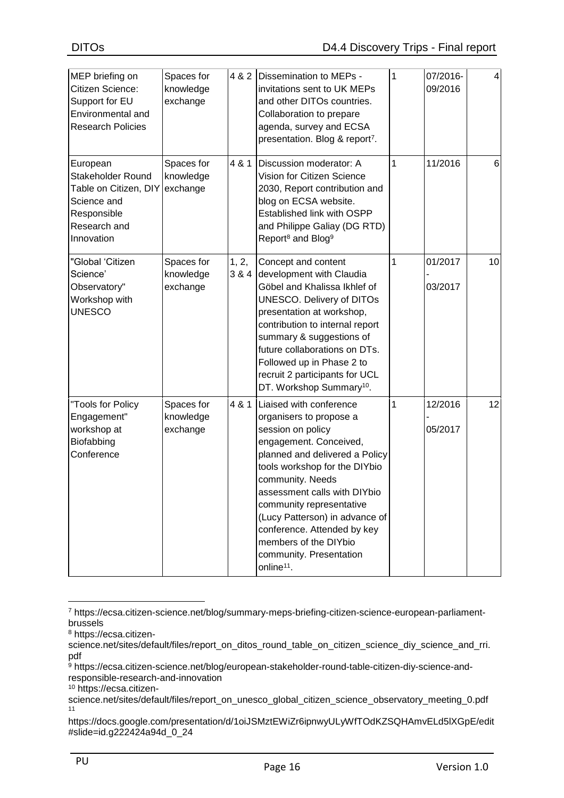| MEP briefing on<br>Citizen Science:<br>Support for EU<br>Environmental and<br><b>Research Policies</b>             | Spaces for<br>knowledge<br>exchange | 4 & 2          | Dissemination to MEPs -<br>invitations sent to UK MEPs<br>and other DITOs countries.<br>Collaboration to prepare<br>agenda, survey and ECSA<br>presentation. Blog & report <sup>7</sup> .                                                                                                                                                                                                           | 1 | 07/2016-<br>09/2016 | 4  |
|--------------------------------------------------------------------------------------------------------------------|-------------------------------------|----------------|-----------------------------------------------------------------------------------------------------------------------------------------------------------------------------------------------------------------------------------------------------------------------------------------------------------------------------------------------------------------------------------------------------|---|---------------------|----|
| European<br>Stakeholder Round<br>Table on Citizen, DIY<br>Science and<br>Responsible<br>Research and<br>Innovation | Spaces for<br>knowledge<br>exchange | 4 & 1          | Discussion moderator: A<br>Vision for Citizen Science<br>2030, Report contribution and<br>blog on ECSA website.<br><b>Established link with OSPP</b><br>and Philippe Galiay (DG RTD)<br>Report <sup>8</sup> and Blog <sup>9</sup>                                                                                                                                                                   | 1 | 11/2016             | 6  |
| "Global 'Citizen<br>Science'<br>Observatory"<br>Workshop with<br><b>UNESCO</b>                                     | Spaces for<br>knowledge<br>exchange | 1, 2,<br>3 & 4 | Concept and content<br>development with Claudia<br>Göbel and Khalissa Ikhlef of<br><b>UNESCO. Delivery of DITOs</b><br>presentation at workshop,<br>contribution to internal report<br>summary & suggestions of<br>future collaborations on DTs.<br>Followed up in Phase 2 to<br>recruit 2 participants for UCL<br>DT. Workshop Summary <sup>10</sup> .                                             | 1 | 01/2017<br>03/2017  | 10 |
| "Tools for Policy<br>Engagement"<br>workshop at<br>Biofabbing<br>Conference                                        | Spaces for<br>knowledge<br>exchange | 4 & 1          | Liaised with conference<br>organisers to propose a<br>session on policy<br>engagement. Conceived,<br>planned and delivered a Policy<br>tools workshop for the DIYbio<br>community. Needs<br>assessment calls with DIYbio<br>community representative<br>(Lucy Patterson) in advance of<br>conference. Attended by key<br>members of the DIYbio<br>community. Presentation<br>online <sup>11</sup> . | 1 | 12/2016<br>05/2017  | 12 |

<sup>7</sup> https://ecsa.citizen-science.net/blog/summary-meps-briefing-citizen-science-european-parliamentbrussels

<sup>10</sup> https://ecsa.citizen-

1

<sup>8</sup> https://ecsa.citizen-

science.net/sites/default/files/report\_on\_ditos\_round\_table\_on\_citizen\_science\_diy\_science\_and\_rri. pdf

<sup>9</sup> https://ecsa.citizen-science.net/blog/european-stakeholder-round-table-citizen-diy-science-andresponsible-research-and-innovation

science.net/sites/default/files/report\_on\_unesco\_global\_citizen\_science\_observatory\_meeting\_0.pdf 11

https://docs.google.com/presentation/d/1oiJSMztEWiZr6ipnwyULyWfTOdKZSQHAmvELd5lXGpE/edit #slide=id.g222424a94d\_0\_24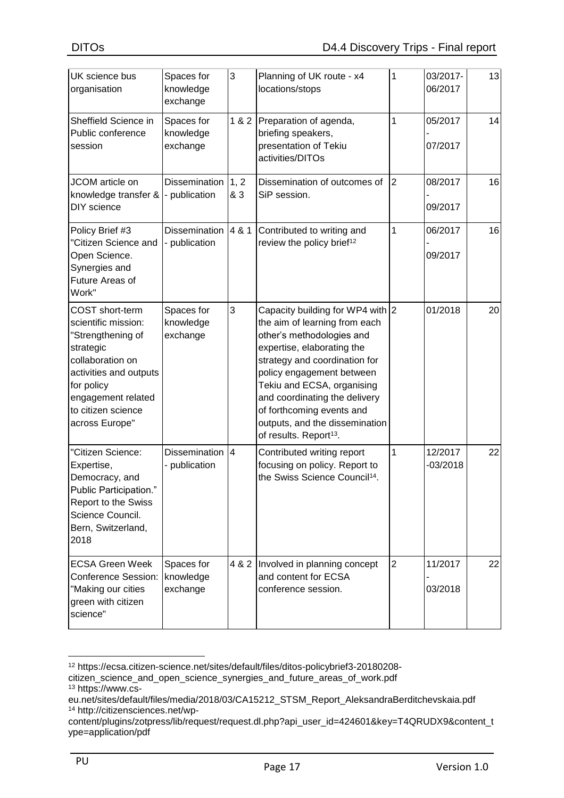| UK science bus<br>organisation                                                                                                                                                                     | Spaces for<br>knowledge<br>exchange      | 3            | Planning of UK route - x4<br>locations/stops                                                                                                                                                                                                                                                                                                                   | 1              | 03/2017-<br>06/2017   | 13 |
|----------------------------------------------------------------------------------------------------------------------------------------------------------------------------------------------------|------------------------------------------|--------------|----------------------------------------------------------------------------------------------------------------------------------------------------------------------------------------------------------------------------------------------------------------------------------------------------------------------------------------------------------------|----------------|-----------------------|----|
| Sheffield Science in<br>Public conference<br>session                                                                                                                                               | Spaces for<br>knowledge<br>exchange      | 1 & 2        | Preparation of agenda,<br>briefing speakers,<br>presentation of Tekiu<br>activities/DITOs                                                                                                                                                                                                                                                                      | 1              | 05/2017<br>07/2017    | 14 |
| JCOM article on<br>knowledge transfer &<br>DIY science                                                                                                                                             | <b>Dissemination</b><br>- publication    | 1, 2<br>& 3  | Dissemination of outcomes of<br>SiP session.                                                                                                                                                                                                                                                                                                                   | 2              | 08/2017<br>09/2017    | 16 |
| Policy Brief #3<br>"Citizen Science and<br>Open Science.<br>Synergies and<br>Future Areas of<br>Work"                                                                                              | Dissemination $ 4 \& 1$<br>- publication |              | Contributed to writing and<br>review the policy brief <sup>12</sup>                                                                                                                                                                                                                                                                                            | 1              | 06/2017<br>09/2017    | 16 |
| COST short-term<br>scientific mission:<br>"Strengthening of<br>strategic<br>collaboration on<br>activities and outputs<br>for policy<br>engagement related<br>to citizen science<br>across Europe" | Spaces for<br>knowledge<br>exchange      | 3            | Capacity building for WP4 with 2<br>the aim of learning from each<br>other's methodologies and<br>expertise, elaborating the<br>strategy and coordination for<br>policy engagement between<br>Tekiu and ECSA, organising<br>and coordinating the delivery<br>of forthcoming events and<br>outputs, and the dissemination<br>of results. Report <sup>13</sup> . |                | 01/2018               | 20 |
| "Citizen Science:<br>Expertise,<br>Democracy, and<br>Public Participation."<br>Report to the Swiss<br>Science Council.<br>Bern, Switzerland,<br>2018                                               | <b>Dissemination</b><br>- publication    | <sup>4</sup> | Contributed writing report<br>focusing on policy. Report to<br>the Swiss Science Council <sup>14</sup> .                                                                                                                                                                                                                                                       | 1              | 12/2017<br>$-03/2018$ | 22 |
| <b>ECSA Green Week</b><br><b>Conference Session:</b><br>"Making our cities<br>green with citizen<br>science"                                                                                       | Spaces for<br>knowledge<br>exchange      | 4 & 2        | Involved in planning concept<br>and content for ECSA<br>conference session.                                                                                                                                                                                                                                                                                    | $\overline{2}$ | 11/2017<br>03/2018    | 22 |

<sup>&</sup>lt;u>.</u> <sup>12</sup> https://ecsa.citizen-science.net/sites/default/files/ditos-policybrief3-20180208-

citizen\_science\_and\_open\_science\_synergies\_and\_future\_areas\_of\_work.pdf <sup>13</sup> https://www.cs-

eu.net/sites/default/files/media/2018/03/CA15212\_STSM\_Report\_AleksandraBerditchevskaia.pdf <sup>14</sup> http://citizensciences.net/wp-

content/plugins/zotpress/lib/request/request.dl.php?api\_user\_id=424601&key=T4QRUDX9&content\_t ype=application/pdf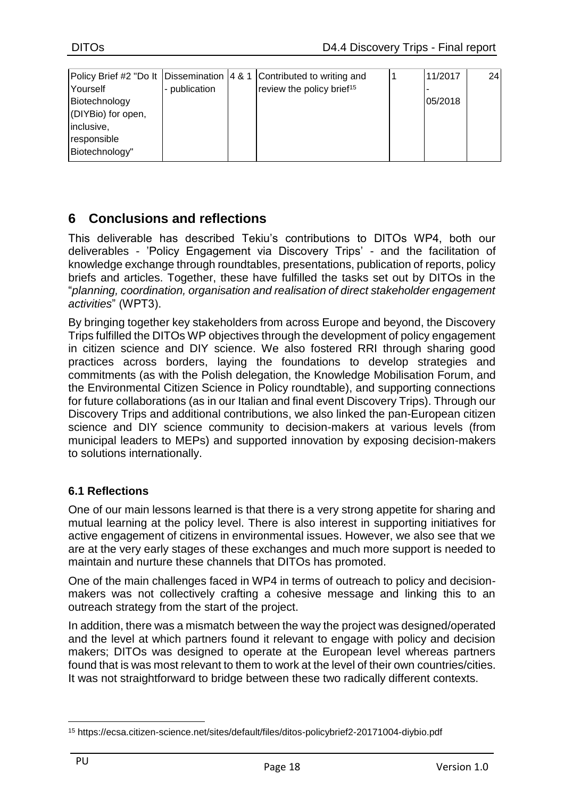|                    |               | Policy Brief #2 "Do It Dissemination   4 & 1 Contributed to writing and | 11/2017 | 24 |
|--------------------|---------------|-------------------------------------------------------------------------|---------|----|
| Yourself           | - publication | review the policy brief <sup>15</sup>                                   |         |    |
| Biotechnology      |               |                                                                         | 05/2018 |    |
| (DIYBio) for open, |               |                                                                         |         |    |
| inclusive,         |               |                                                                         |         |    |
| responsible        |               |                                                                         |         |    |
| Biotechnology"     |               |                                                                         |         |    |

## <span id="page-17-0"></span>**6 Conclusions and reflections**

This deliverable has described Tekiu's contributions to DITOs WP4, both our deliverables - 'Policy Engagement via Discovery Trips' - and the facilitation of knowledge exchange through roundtables, presentations, publication of reports, policy briefs and articles. Together, these have fulfilled the tasks set out by DITOs in the "*planning, coordination, organisation and realisation of direct stakeholder engagement activities*" (WPT3).

By bringing together key stakeholders from across Europe and beyond, the Discovery Trips fulfilled the DITOs WP objectives through the development of policy engagement in citizen science and DIY science. We also fostered RRI through sharing good practices across borders, laying the foundations to develop strategies and commitments (as with the Polish delegation, the Knowledge Mobilisation Forum, and the Environmental Citizen Science in Policy roundtable), and supporting connections for future collaborations (as in our Italian and final event Discovery Trips). Through our Discovery Trips and additional contributions, we also linked the pan-European citizen science and DIY science community to decision-makers at various levels (from municipal leaders to MEPs) and supported innovation by exposing decision-makers to solutions internationally.

#### **6.1 Reflections**

One of our main lessons learned is that there is a very strong appetite for sharing and mutual learning at the policy level. There is also interest in supporting initiatives for active engagement of citizens in environmental issues. However, we also see that we are at the very early stages of these exchanges and much more support is needed to maintain and nurture these channels that DITOs has promoted.

One of the main challenges faced in WP4 in terms of outreach to policy and decisionmakers was not collectively crafting a cohesive message and linking this to an outreach strategy from the start of the project.

In addition, there was a mismatch between the way the project was designed/operated and the level at which partners found it relevant to engage with policy and decision makers; DITOs was designed to operate at the European level whereas partners found that is was most relevant to them to work at the level of their own countries/cities. It was not straightforward to bridge between these two radically different contexts.

<u>.</u>

<sup>15</sup> https://ecsa.citizen-science.net/sites/default/files/ditos-policybrief2-20171004-diybio.pdf